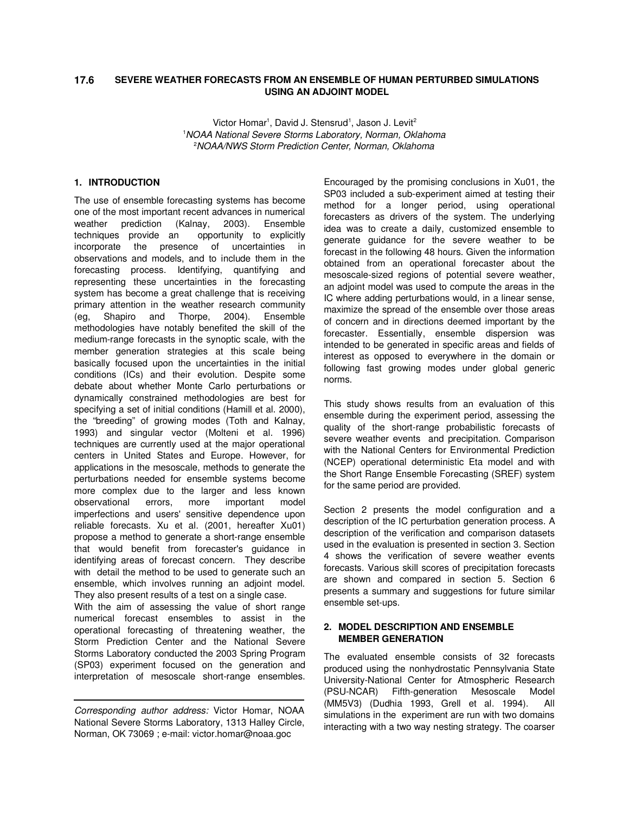#### **SEVERE WEATHER FORECASTS FROM AN ENSEMBLE OF HUMAN PERTURBED SIMULATIONS USING AN ADJOINT MODEL 17.6**

Victor Homar<sup>1</sup>, David J. Stensrud<sup>1</sup>, Jason J. Levit<sup>2</sup> <sup>1</sup>*NOAA National Severe Storms Laboratory, Norman, Oklahoma* <sup>2</sup>*NOAA/NWS Storm Prediction Center, Norman, Oklahoma*

## **1. INTRODUCTION**

The use of ensemble forecasting systems has become one of the most important recent advances in numerical weather prediction (Kalnay, 2003). Ensemble techniques provide an opportunity to explicitly incorporate the presence of uncertainties in observations and models, and to include them in the forecasting process. Identifying, quantifying and representing these uncertainties in the forecasting system has become a great challenge that is receiving primary attention in the weather research community (eg, Shapiro and Thorpe, 2004). Ensemble methodologies have notably benefited the skill of the medium-range forecasts in the synoptic scale, with the member generation strategies at this scale being basically focused upon the uncertainties in the initial conditions (ICs) and their evolution. Despite some debate about whether Monte Carlo perturbations or dynamically constrained methodologies are best for specifying a set of initial conditions (Hamill et al. 2000), the "breeding" of growing modes (Toth and Kalnay, 1993) and singular vector (Molteni et al. 1996) techniques are currently used at the major operational centers in United States and Europe. However, for applications in the mesoscale, methods to generate the perturbations needed for ensemble systems become more complex due to the larger and less known observational errors, more important model imperfections and users' sensitive dependence upon reliable forecasts. Xu et al. (2001, hereafter Xu01) propose a method to generate a short-range ensemble that would benefit from forecaster's guidance in identifying areas of forecast concern. They describe with detail the method to be used to generate such an ensemble, which involves running an adjoint model. They also present results of a test on a single case.

With the aim of assessing the value of short range numerical forecast ensembles to assist in the operational forecasting of threatening weather, the Storm Prediction Center and the National Severe Storms Laboratory conducted the 2003 Spring Program (SP03) experiment focused on the generation and interpretation of mesoscale short-range ensembles.

Encouraged by the promising conclusions in Xu01, the SP03 included a sub-experiment aimed at testing their method for a longer period, using operational forecasters as drivers of the system. The underlying idea was to create a daily, customized ensemble to generate guidance for the severe weather to be forecast in the following 48 hours. Given the information obtained from an operational forecaster about the mesoscale-sized regions of potential severe weather, an adjoint model was used to compute the areas in the IC where adding perturbations would, in a linear sense, maximize the spread of the ensemble over those areas of concern and in directions deemed important by the forecaster. Essentially, ensemble dispersion was intended to be generated in specific areas and fields of interest as opposed to everywhere in the domain or following fast growing modes under global generic norms.

This study shows results from an evaluation of this ensemble during the experiment period, assessing the quality of the short-range probabilistic forecasts of severe weather events and precipitation. Comparison with the National Centers for Environmental Prediction (NCEP) operational deterministic Eta model and with the Short Range Ensemble Forecasting (SREF) system for the same period are provided.

Section 2 presents the model configuration and a description of the IC perturbation generation process. A description of the verification and comparison datasets used in the evaluation is presented in section 3. Section 4 shows the verification of severe weather events forecasts. Various skill scores of precipitation forecasts are shown and compared in section 5. Section 6 presents a summary and suggestions for future similar ensemble set-ups.

# **2. MODEL DESCRIPTION AND ENSEMBLE MEMBER GENERATION**

The evaluated ensemble consists of 32 forecasts produced using the nonhydrostatic Pennsylvania State University-National Center for Atmospheric Research (PSU-NCAR) Fifth-generation Mesoscale Model (MM5V3) (Dudhia 1993, Grell et al. 1994). All simulations in the experiment are run with two domains interacting with a two way nesting strategy. The coarser

*Corresponding author address:* Victor Homar, NOAA National Severe Storms Laboratory, 1313 Halley Circle, Norman, OK 73069 ; e-mail: victor.homar@noaa.goc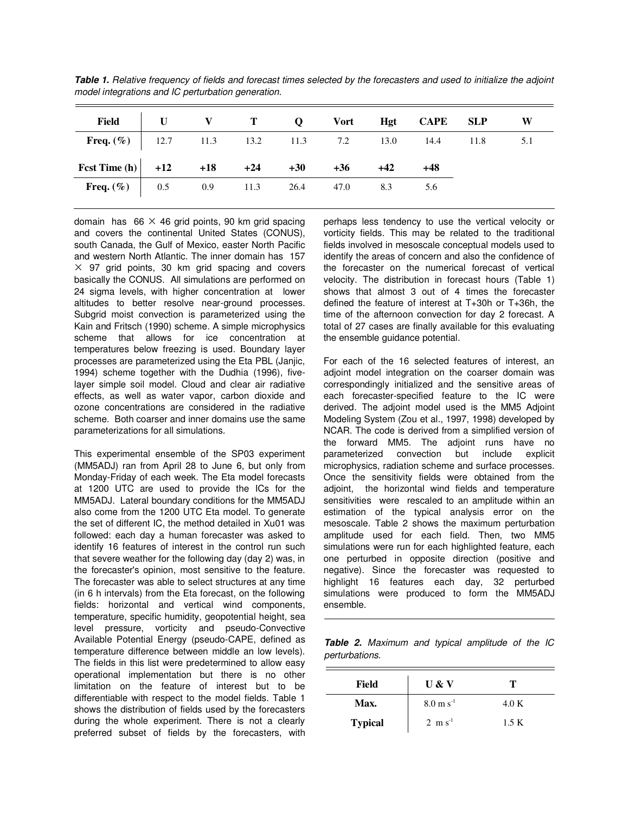|                                                                |  |  |  | Field U V T Q Vort Hgt CAPE SLP W |  |
|----------------------------------------------------------------|--|--|--|-----------------------------------|--|
| <b>Freq.</b> $(\%)$ 12.7 11.3 13.2 11.3 7.2 13.0 14.4 11.8 5.1 |  |  |  |                                   |  |
| Fest Time (h) $+12$ $+18$ $+24$ $+30$ $+36$ $+42$              |  |  |  | +48                               |  |
| <b>Freq.</b> $(\% )$ 0.5 0.9 11.3 26.4 47.0 8.3 5.6            |  |  |  |                                   |  |

Table 1. Relative frequency of fields and forecast times selected by the forecasters and used to initialize the adjoint *model integrations and IC perturbation generation.*

domain has 66  $\times$  46 grid points, 90 km grid spacing and covers the continental United States (CONUS), south Canada, the Gulf of Mexico, easter North Pacific and western North Atlantic. The inner domain has 157  $\times$  97 grid points, 30 km grid spacing and covers basically the CONUS. All simulations are performed on 24 sigma levels, with higher concentration at lower altitudes to better resolve near-ground processes. Subgrid moist convection is parameterized using the Kain and Fritsch (1990) scheme. A simple microphysics scheme that allows for ice concentration at temperatures below freezing is used. Boundary layer processes are parameterized using the Eta PBL (Janjic, 1994) scheme together with the Dudhia (1996), fivelayer simple soil model. Cloud and clear air radiative effects, as well as water vapor, carbon dioxide and ozone concentrations are considered in the radiative scheme. Both coarser and inner domains use the same parameterizations for all simulations.

This experimental ensemble of the SP03 experiment (MM5ADJ) ran from April 28 to June 6, but only from Monday-Friday of each week. The Eta model forecasts at 1200 UTC are used to provide the ICs for the MM5ADJ. Lateral boundary conditions for the MM5ADJ also come from the 1200 UTC Eta model. To generate the set of different IC, the method detailed in Xu01 was followed: each day a human forecaster was asked to identify 16 features of interest in the control run such that severe weather for the following day (day 2) was, in the forecaster's opinion, most sensitive to the feature. The forecaster was able to select structures at any time (in 6 h intervals) from the Eta forecast, on the following fields: horizontal and vertical wind components, temperature, specific humidity, geopotential height, sea level pressure, vorticity and pseudo-Convective Available Potential Energy (pseudo-CAPE, defined as temperature difference between middle an low levels). The fields in this list were predetermined to allow easy operational implementation but there is no other limitation on the feature of interest but to be differentiable with respect to the model fields. Table 1 shows the distribution of fields used by the forecasters during the whole experiment. There is not a clearly preferred subset of fields by the forecasters, with perhaps less tendency to use the vertical velocity or vorticity fields. This may be related to the traditional fields involved in mesoscale conceptual models used to identify the areas of concern and also the confidence of the forecaster on the numerical forecast of vertical velocity. The distribution in forecast hours (Table 1) shows that almost 3 out of 4 times the forecaster defined the feature of interest at T+30h or T+36h, the time of the afternoon convection for day 2 forecast. A total of 27 cases are finally available for this evaluating the ensemble guidance potential.

For each of the 16 selected features of interest, an adjoint model integration on the coarser domain was correspondingly initialized and the sensitive areas of each forecaster-specified feature to the IC were derived. The adjoint model used is the MM5 Adjoint Modeling System (Zou et al., 1997, 1998) developed by NCAR. The code is derived from a simplified version of the forward MM5. The adjoint runs have no parameterized convection but include explicit microphysics, radiation scheme and surface processes. Once the sensitivity fields were obtained from the adjoint, the horizontal wind fields and temperature sensitivities were rescaled to an amplitude within an estimation of the typical analysis error on the mesoscale. Table 2 shows the maximum perturbation amplitude used for each field. Then, two MM5 simulations were run for each highlighted feature, each one perturbed in opposite direction (positive and negative). Since the forecaster was requested to highlight 16 features each day, 32 perturbed simulations were produced to form the MM5ADJ ensemble.

*Table 2. Maximum and typical amplitude of the IC perturbations.*

| Field          | U & V                  | т     |  |  |
|----------------|------------------------|-------|--|--|
| Max.           | $8.0 \text{ m s}^{-1}$ | 4.0 K |  |  |
| <b>Typical</b> | $2 \text{ m s}^{-1}$   | 1.5 K |  |  |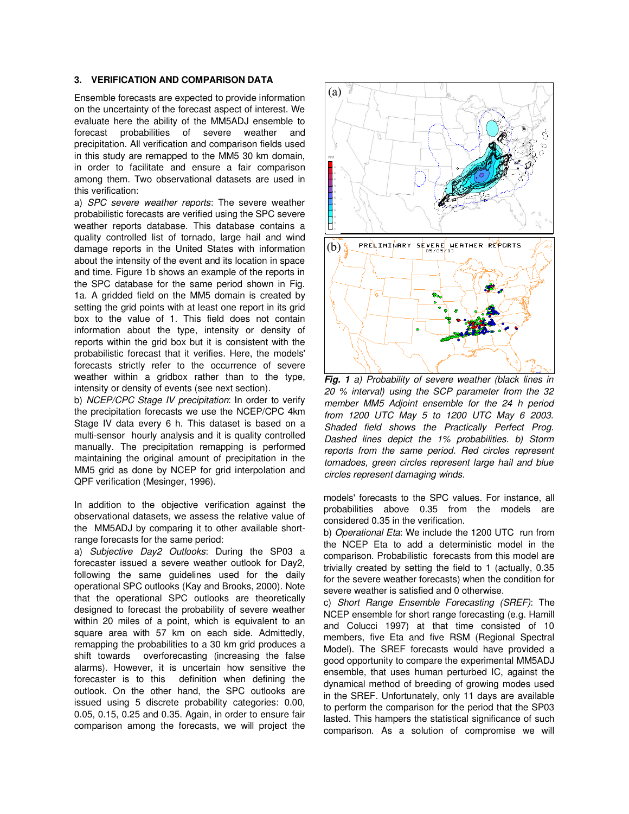## **3. VERIFICATION AND COMPARISON DATA**

Ensemble forecasts are expected to provide information on the uncertainty of the forecast aspect of interest. We evaluate here the ability of the MM5ADJ ensemble to forecast probabilities of severe weather and precipitation. All verification and comparison fields used in this study are remapped to the MM5 30 km domain, in order to facilitate and ensure a fair comparison among them. Two observational datasets are used in this verification:

a) *SPC severe weather reports*: The severe weather probabilistic forecasts are verified using the SPC severe weather reports database. This database contains a quality controlled list of tornado, large hail and wind damage reports in the United States with information about the intensity of the event and its location in space and time. Figure 1b shows an example of the reports in the SPC database for the same period shown in Fig. 1a. A gridded field on the MM5 domain is created by setting the grid points with at least one report in its grid box to the value of 1. This field does not contain information about the type, intensity or density of reports within the grid box but it is consistent with the probabilistic forecast that it verifies. Here, the models' forecasts strictly refer to the occurrence of severe weather within a gridbox rather than to the type, intensity or density of events (see next section).

b) *NCEP/CPC Stage IV precipitation*: In order to verify the precipitation forecasts we use the NCEP/CPC 4km Stage IV data every 6 h. This dataset is based on a multi-sensor hourly analysis and it is quality controlled manually. The precipitation remapping is performed maintaining the original amount of precipitation in the MM5 grid as done by NCEP for grid interpolation and QPF verification (Mesinger, 1996).

In addition to the objective verification against the observational datasets, we assess the relative value of the MM5ADJ by comparing it to other available shortrange forecasts for the same period:

a) *Subjective Day2 Outlooks*: During the SP03 a forecaster issued a severe weather outlook for Day2, following the same guidelines used for the daily operational SPC outlooks (Kay and Brooks, 2000). Note that the operational SPC outlooks are theoretically designed to forecast the probability of severe weather within 20 miles of a point, which is equivalent to an square area with 57 km on each side. Admittedly, remapping the probabilities to a 30 km grid produces a shift towards overforecasting (increasing the false alarms). However, it is uncertain how sensitive the forecaster is to this definition when defining the outlook. On the other hand, the SPC outlooks are issued using 5 discrete probability categories: 0.00, 0.05, 0.15, 0.25 and 0.35. Again, in order to ensure fair comparison among the forecasts, we will project the



*Fig. 1 a) Probability of severe weather (black lines in 20 % interval) using the SCP parameter from the 32 member MM5 Adjoint ensemble for the 24 h period from 1200 UTC May 5 to 1200 UTC May 6 2003. Shaded field shows the Practically Perfect Prog. Dashed lines depict the 1% probabilities. b) Storm reports from the same period. Red circles represent tornadoes, green circles represent large hail and blue circles represent damaging winds.*

models' forecasts to the SPC values. For instance, all probabilities above 0.35 from the models are considered 0.35 in the verification.

b) *Operational Eta*: We include the 1200 UTC run from the NCEP Eta to add a deterministic model in the comparison. Probabilistic forecasts from this model are trivially created by setting the field to 1 (actually, 0.35 for the severe weather forecasts) when the condition for severe weather is satisfied and 0 otherwise.

c) *Short Range Ensemble Forecasting (SREF)*: The NCEP ensemble for short range forecasting (e.g. Hamill and Colucci 1997) at that time consisted of 10 members, five Eta and five RSM (Regional Spectral Model). The SREF forecasts would have provided a good opportunity to compare the experimental MM5ADJ ensemble, that uses human perturbed IC, against the dynamical method of breeding of growing modes used in the SREF. Unfortunately, only 11 days are available to perform the comparison for the period that the SP03 lasted. This hampers the statistical significance of such comparison. As a solution of compromise we will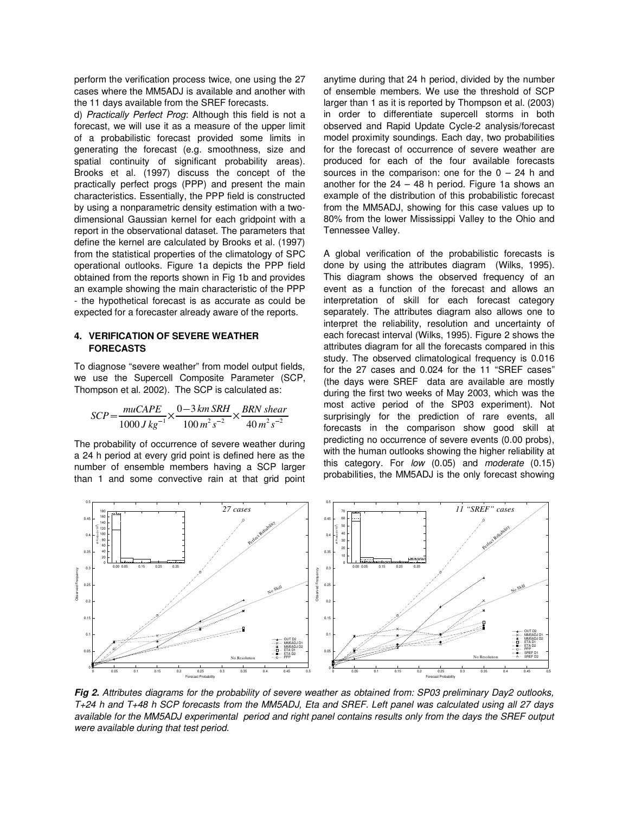perform the verification process twice, one using the 27 cases where the MM5ADJ is available and another with the 11 days available from the SREF forecasts.

d) *Practically Perfect Prog*: Although this field is not a forecast, we will use it as a measure of the upper limit of a probabilistic forecast provided some limits in generating the forecast (e.g. smoothness, size and spatial continuity of significant probability areas). Brooks et al. (1997) discuss the concept of the practically perfect progs (PPP) and present the main characteristics. Essentially, the PPP field is constructed by using a nonparametric density estimation with a twodimensional Gaussian kernel for each gridpoint with a report in the observational dataset. The parameters that define the kernel are calculated by Brooks et al. (1997) from the statistical properties of the climatology of SPC operational outlooks. Figure 1a depicts the PPP field obtained from the reports shown in Fig 1b and provides an example showing the main characteristic of the PPP - the hypothetical forecast is as accurate as could be expected for a forecaster already aware of the reports.

### **4. VERIFICATION OF SEVERE WEATHER FORECASTS**

To diagnose "severe weather" from model output fields, we use the Supercell Composite Parameter (SCP, Thompson et al. 2002). The SCP is calculated as:

$$
SCP = \frac{muCAP}{1000 J kg^{-1}} \times \frac{0-3 km SRH}{100 m^{2} s^{-2}} \times \frac{BRN shear}{40 m^{2} s^{-2}}
$$

The probability of occurrence of severe weather during a 24 h period at every grid point is defined here as the number of ensemble members having a SCP larger than 1 and some convective rain at that grid point anytime during that 24 h period, divided by the number of ensemble members. We use the threshold of SCP larger than 1 as it is reported by Thompson et al. (2003) in order to differentiate supercell storms in both observed and Rapid Update Cycle-2 analysis/forecast model proximity soundings. Each day, two probabilities for the forecast of occurrence of severe weather are produced for each of the four available forecasts sources in the comparison: one for the  $0 - 24$  h and another for the  $24 - 48$  h period. Figure 1a shows an example of the distribution of this probabilistic forecast from the MM5ADJ, showing for this case values up to 80% from the lower Mississippi Valley to the Ohio and Tennessee Valley.

A global verification of the probabilistic forecasts is done by using the attributes diagram (Wilks, 1995). This diagram shows the observed frequency of an event as a function of the forecast and allows an interpretation of skill for each forecast category separately. The attributes diagram also allows one to interpret the reliability, resolution and uncertainty of each forecast interval (Wilks, 1995). Figure 2 shows the attributes diagram for all the forecasts compared in this study. The observed climatological frequency is 0.016 for the 27 cases and 0.024 for the 11 "SREF cases" (the days were SREF data are available are mostly during the first two weeks of May 2003, which was the most active period of the SP03 experiment). Not surprisingly for the prediction of rare events, all forecasts in the comparison show good skill at predicting no occurrence of severe events (0.00 probs), with the human outlooks showing the higher reliability at this category. For *low* (0.05) and *moderate* (0.15) probabilities, the MM5ADJ is the only forecast showing



Fig 2. Attributes diagrams for the probability of severe weather as obtained from: SP03 preliminary Day2 outlooks, T+24 h and T+48 h SCP forecasts from the MM5ADJ, Eta and SREF. Left panel was calculated using all 27 days available for the MM5ADJ experimental period and right panel contains results only from the days the SREF output *were available during that test period.*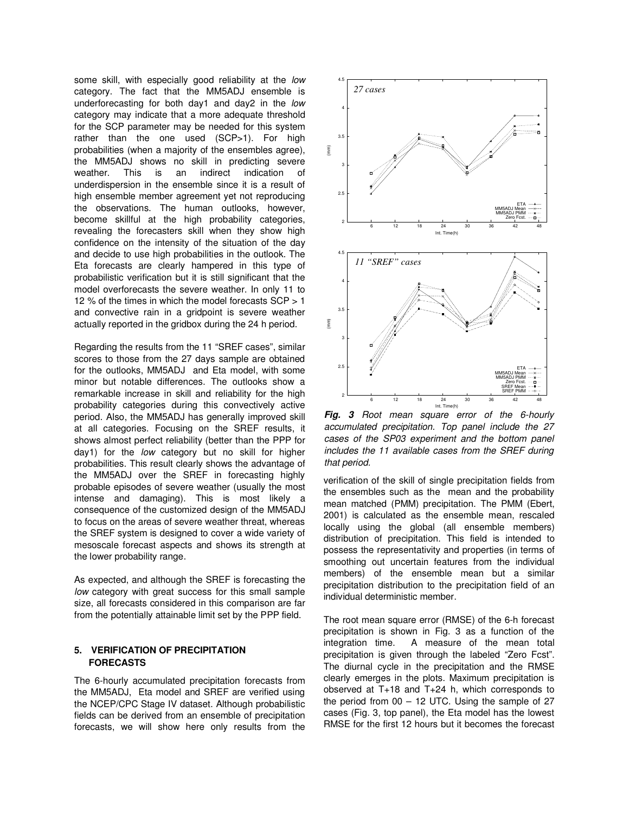some skill, with especially good reliability at the *low* category. The fact that the MM5ADJ ensemble is underforecasting for both day1 and day2 in the *low* category may indicate that a more adequate threshold for the SCP parameter may be needed for this system rather than the one used (SCP>1). For high probabilities (when a majority of the ensembles agree), the MM5ADJ shows no skill in predicting severe weather. This is an indirect indication of underdispersion in the ensemble since it is a result of high ensemble member agreement yet not reproducing the observations. The human outlooks, however, become skillful at the high probability categories, revealing the forecasters skill when they show high confidence on the intensity of the situation of the day and decide to use high probabilities in the outlook. The Eta forecasts are clearly hampered in this type of probabilistic verification but it is still significant that the model overforecasts the severe weather. In only 11 to 12 % of the times in which the model forecasts SCP > 1 and convective rain in a gridpoint is severe weather actually reported in the gridbox during the 24 h period.

Regarding the results from the 11 "SREF cases", similar scores to those from the 27 days sample are obtained for the outlooks, MM5ADJ and Eta model, with some minor but notable differences. The outlooks show a remarkable increase in skill and reliability for the high probability categories during this convectively active period. Also, the MM5ADJ has generally improved skill at all categories. Focusing on the SREF results, it shows almost perfect reliability (better than the PPP for day1) for the *low* category but no skill for higher probabilities. This result clearly shows the advantage of the MM5ADJ over the SREF in forecasting highly probable episodes of severe weather (usually the most intense and damaging). This is most likely a consequence of the customized design of the MM5ADJ to focus on the areas of severe weather threat, whereas the SREF system is designed to cover a wide variety of mesoscale forecast aspects and shows its strength at the lower probability range.

As expected, and although the SREF is forecasting the *low* category with great success for this small sample size, all forecasts considered in this comparison are far from the potentially attainable limit set by the PPP field.

# **5. VERIFICATION OF PRECIPITATION FORECASTS**

The 6-hourly accumulated precipitation forecasts from the MM5ADJ, Eta model and SREF are verified using the NCEP/CPC Stage IV dataset. Although probabilistic fields can be derived from an ensemble of precipitation forecasts, we will show here only results from the



*Fig. 3 Root mean square error of the 6-hourly accumulated precipitation. Top panel include the 27 cases of the SP03 experiment and the bottom panel includes the 11 available cases from the SREF during that period.*

verification of the skill of single precipitation fields from the ensembles such as the mean and the probability mean matched (PMM) precipitation. The PMM (Ebert, 2001) is calculated as the ensemble mean, rescaled locally using the global (all ensemble members) distribution of precipitation. This field is intended to possess the representativity and properties (in terms of smoothing out uncertain features from the individual members) of the ensemble mean but a similar precipitation distribution to the precipitation field of an individual deterministic member.

The root mean square error (RMSE) of the 6-h forecast precipitation is shown in Fig. 3 as a function of the integration time. A measure of the mean total precipitation is given through the labeled "Zero Fcst". The diurnal cycle in the precipitation and the RMSE clearly emerges in the plots. Maximum precipitation is observed at T+18 and T+24 h, which corresponds to the period from  $00 - 12$  UTC. Using the sample of 27 cases (Fig. 3, top panel), the Eta model has the lowest RMSE for the first 12 hours but it becomes the forecast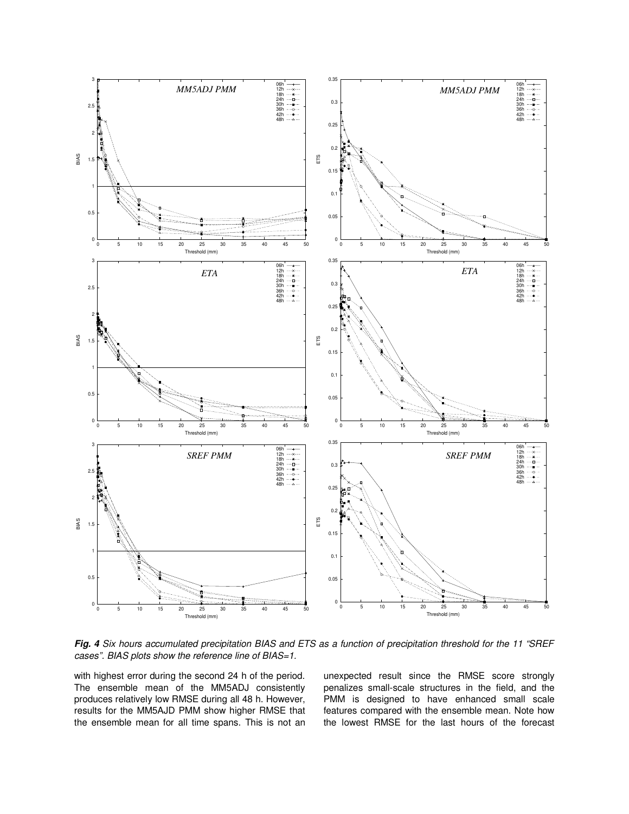

Fig. 4 Six hours accumulated precipitation BIAS and ETS as a function of precipitation threshold for the 11 "SREF *cases". BIAS plots show the reference line of BIAS=1.*

with highest error during the second 24 h of the period. The ensemble mean of the MM5ADJ consistently produces relatively low RMSE during all 48 h. However, results for the MM5AJD PMM show higher RMSE that the ensemble mean for all time spans. This is not an unexpected result since the RMSE score strongly penalizes small-scale structures in the field, and the PMM is designed to have enhanced small scale features compared with the ensemble mean. Note how the lowest RMSE for the last hours of the forecast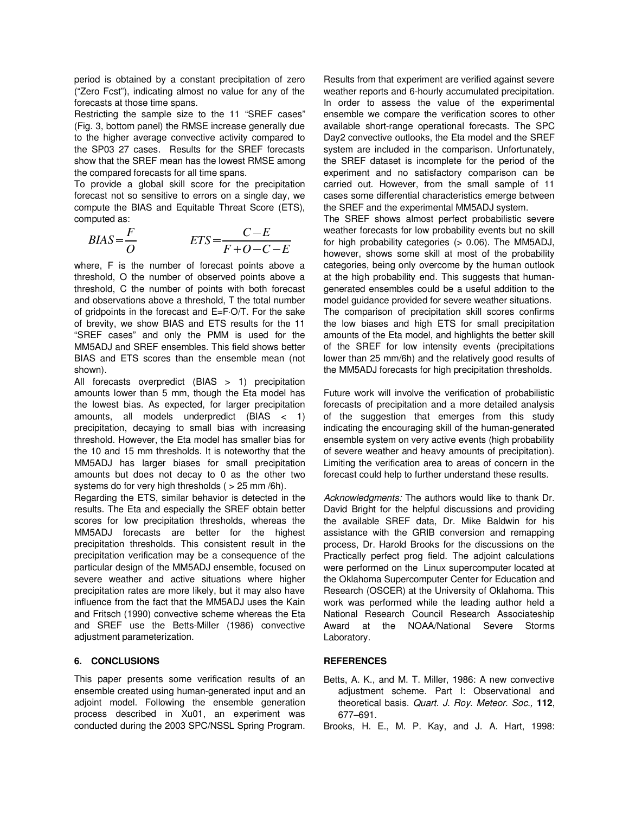period is obtained by a constant precipitation of zero ("Zero Fcst"), indicating almost no value for any of the forecasts at those time spans.

Restricting the sample size to the 11 "SREF cases" (Fig. 3, bottom panel) the RMSE increase generally due to the higher average convective activity compared to the SP03 27 cases. Results for the SREF forecasts show that the SREF mean has the lowest RMSE among the compared forecasts for all time spans.

To provide a global skill score for the precipitation forecast not so sensitive to errors on a single day, we compute the BIAS and Equitable Threat Score (ETS), computed as:

$$
BIAS = \frac{F}{O} \qquad ETS = \frac{C - E}{F + O - C - E} \qquad \frac{V}{P}
$$

where, F is the number of forecast points above a threshold, O the number of observed points above a threshold, C the number of points with both forecast and observations above a threshold, T the total number of gridpoints in the forecast and E=F·O/T. For the sake of brevity, we show BIAS and ETS results for the 11 "SREF cases" and only the PMM is used for the MM5ADJ and SREF ensembles. This field shows better BIAS and ETS scores than the ensemble mean (not shown).

All forecasts overpredict (BIAS > 1) precipitation amounts lower than 5 mm, though the Eta model has the lowest bias. As expected, for larger precipitation amounts, all models underpredict (BIAS < 1) precipitation, decaying to small bias with increasing threshold. However, the Eta model has smaller bias for the 10 and 15 mm thresholds. It is noteworthy that the MM5ADJ has larger biases for small precipitation amounts but does not decay to 0 as the other two systems do for very high thresholds ( > 25 mm /6h).

Regarding the ETS, similar behavior is detected in the results. The Eta and especially the SREF obtain better scores for low precipitation thresholds, whereas the MM5ADJ forecasts are better for the highest precipitation thresholds. This consistent result in the precipitation verification may be a consequence of the particular design of the MM5ADJ ensemble, focused on severe weather and active situations where higher precipitation rates are more likely, but it may also have influence from the fact that the MM5ADJ uses the Kain and Fritsch (1990) convective scheme whereas the Eta and SREF use the Betts-Miller (1986) convective adjustment parameterization.

## **6. CONCLUSIONS**

This paper presents some verification results of an ensemble created using human-generated input and an adjoint model. Following the ensemble generation process described in Xu01, an experiment was conducted during the 2003 SPC/NSSL Spring Program. Results from that experiment are verified against severe weather reports and 6-hourly accumulated precipitation. In order to assess the value of the experimental ensemble we compare the verification scores to other available short-range operational forecasts. The SPC Day2 convective outlooks, the Eta model and the SREF system are included in the comparison. Unfortunately, the SREF dataset is incomplete for the period of the experiment and no satisfactory comparison can be carried out. However, from the small sample of 11 cases some differential characteristics emerge between the SREF and the experimental MM5ADJ system.

The SREF shows almost perfect probabilistic severe weather forecasts for low probability events but no skill for high probability categories (> 0.06). The MM5ADJ,  $F + O - C - E$  however, shows some skill at most of the probability categories, being only overcome by the human outlook at the high probability end. This suggests that humangenerated ensembles could be a useful addition to the model guidance provided for severe weather situations. The comparison of precipitation skill scores confirms the low biases and high ETS for small precipitation amounts of the Eta model, and highlights the better skill of the SREF for low intensity events (precipitations lower than 25 mm/6h) and the relatively good results of the MM5ADJ forecasts for high precipitation thresholds.

> Future work will involve the verification of probabilistic forecasts of precipitation and a more detailed analysis of the suggestion that emerges from this study indicating the encouraging skill of the human-generated ensemble system on very active events (high probability of severe weather and heavy amounts of precipitation). Limiting the verification area to areas of concern in the forecast could help to further understand these results.

> *Acknowledgments:* The authors would like to thank Dr. David Bright for the helpful discussions and providing the available SREF data, Dr. Mike Baldwin for his assistance with the GRIB conversion and remapping process, Dr. Harold Brooks for the discussions on the Practically perfect prog field. The adjoint calculations were performed on the Linux supercomputer located at the Oklahoma Supercomputer Center for Education and Research (OSCER) at the University of Oklahoma. This work was performed while the leading author held a National Research Council Research Associateship Award at the NOAA/National Severe Storms Laboratory.

# **REFERENCES**

- Betts, A. K., and M. T. Miller, 1986: A new convective adjustment scheme. Part I: Observational and theoretical basis. *Quart. J. Roy. Meteor. Soc.,* **112**, 677–691.
- Brooks, H. E., M. P. Kay, and J. A. Hart, 1998: